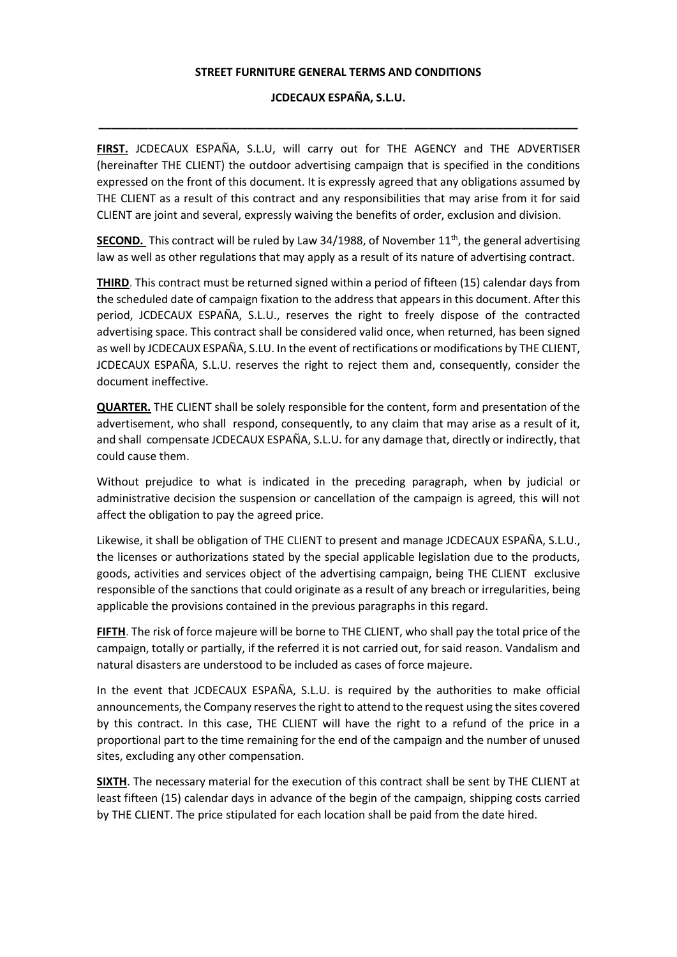## **STREET FURNITURE GENERAL TERMS AND CONDITIONS**

## **JCDECAUX ESPAÑA, S.L.U.**

**\_\_\_\_\_\_\_\_\_\_\_\_\_\_\_\_\_\_\_\_\_\_\_\_\_\_\_\_\_\_\_\_\_\_\_\_\_\_\_\_\_\_\_\_\_\_\_\_\_\_\_\_\_\_\_\_\_\_\_\_\_\_\_\_\_\_\_\_\_\_\_\_\_\_\_\_\_** 

**FIRST.** JCDECAUX ESPAÑA, S.L.U, will carry out for THE AGENCY and THE ADVERTISER (hereinafter THE CLIENT) the outdoor advertising campaign that is specified in the conditions expressed on the front of this document. It is expressly agreed that any obligations assumed by THE CLIENT as a result of this contract and any responsibilities that may arise from it for said CLIENT are joint and several, expressly waiving the benefits of order, exclusion and division.

**SECOND.** This contract will be ruled by Law 34/1988, of November 11<sup>th</sup>, the general advertising law as well as other regulations that may apply as a result of its nature of advertising contract.

**THIRD**. This contract must be returned signed within a period of fifteen (15) calendar days from the scheduled date of campaign fixation to the address that appears in this document. After this period, JCDECAUX ESPAÑA, S.L.U., reserves the right to freely dispose of the contracted advertising space. This contract shall be considered valid once, when returned, has been signed as well by JCDECAUX ESPAÑA, S.LU. In the event of rectifications or modifications by THE CLIENT, JCDECAUX ESPAÑA, S.L.U. reserves the right to reject them and, consequently, consider the document ineffective.

**QUARTER.** THE CLIENT shall be solely responsible for the content, form and presentation of the advertisement, who shall respond, consequently, to any claim that may arise as a result of it, and shall compensate JCDECAUX ESPAÑA, S.L.U. for any damage that, directly or indirectly, that could cause them.

Without prejudice to what is indicated in the preceding paragraph, when by judicial or administrative decision the suspension or cancellation of the campaign is agreed, this will not affect the obligation to pay the agreed price.

Likewise, it shall be obligation of THE CLIENT to present and manage JCDECAUX ESPAÑA, S.L.U., the licenses or authorizations stated by the special applicable legislation due to the products, goods, activities and services object of the advertising campaign, being THE CLIENT exclusive responsible of the sanctions that could originate as a result of any breach or irregularities, being applicable the provisions contained in the previous paragraphs in this regard.

**FIFTH**. The risk of force majeure will be borne to THE CLIENT, who shall pay the total price of the campaign, totally or partially, if the referred it is not carried out, for said reason. Vandalism and natural disasters are understood to be included as cases of force majeure.

In the event that JCDECAUX ESPAÑA, S.L.U. is required by the authorities to make official announcements, the Company reserves the right to attend to the request using the sites covered by this contract. In this case, THE CLIENT will have the right to a refund of the price in a proportional part to the time remaining for the end of the campaign and the number of unused sites, excluding any other compensation.

**SIXTH**. The necessary material for the execution of this contract shall be sent by THE CLIENT at least fifteen (15) calendar days in advance of the begin of the campaign, shipping costs carried by THE CLIENT. The price stipulated for each location shall be paid from the date hired.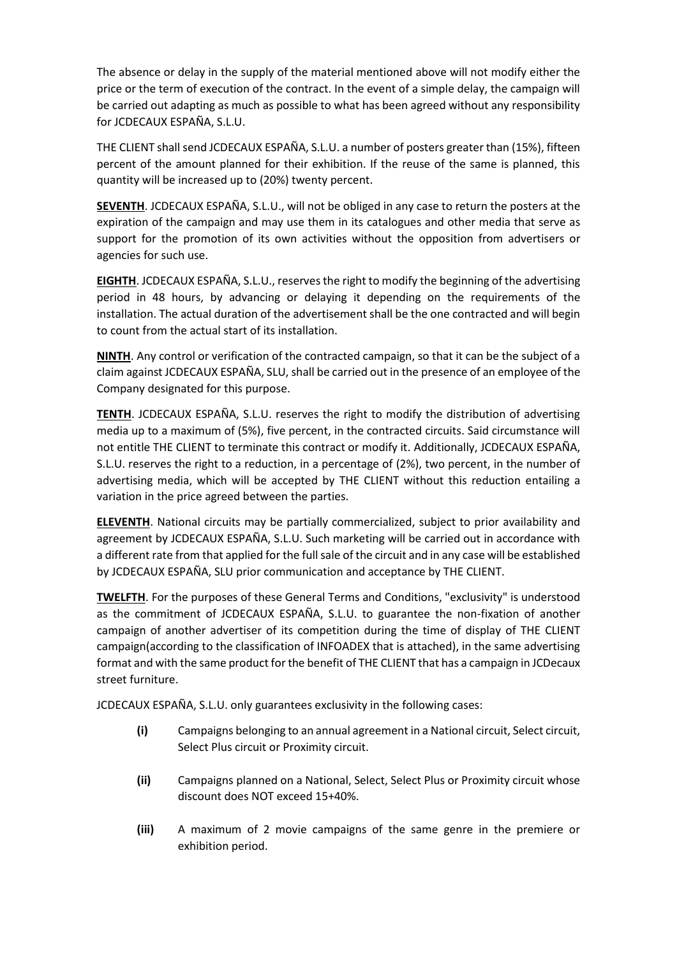The absence or delay in the supply of the material mentioned above will not modify either the price or the term of execution of the contract. In the event of a simple delay, the campaign will be carried out adapting as much as possible to what has been agreed without any responsibility for JCDECAUX ESPAÑA, S.L.U.

THE CLIENT shall send JCDECAUX ESPAÑA, S.L.U. a number of posters greater than (15%), fifteen percent of the amount planned for their exhibition. If the reuse of the same is planned, this quantity will be increased up to (20%) twenty percent.

**SEVENTH**. JCDECAUX ESPAÑA, S.L.U., will not be obliged in any case to return the posters at the expiration of the campaign and may use them in its catalogues and other media that serve as support for the promotion of its own activities without the opposition from advertisers or agencies for such use.

**EIGHTH**. JCDECAUX ESPAÑA, S.L.U., reserves the right to modify the beginning of the advertising period in 48 hours, by advancing or delaying it depending on the requirements of the installation. The actual duration of the advertisement shall be the one contracted and will begin to count from the actual start of its installation.

**NINTH**. Any control or verification of the contracted campaign, so that it can be the subject of a claim against JCDECAUX ESPAÑA, SLU, shall be carried out in the presence of an employee of the Company designated for this purpose.

**TENTH**. JCDECAUX ESPAÑA, S.L.U. reserves the right to modify the distribution of advertising media up to a maximum of (5%), five percent, in the contracted circuits. Said circumstance will not entitle THE CLIENT to terminate this contract or modify it. Additionally, JCDECAUX ESPAÑA, S.L.U. reserves the right to a reduction, in a percentage of (2%), two percent, in the number of advertising media, which will be accepted by THE CLIENT without this reduction entailing a variation in the price agreed between the parties.

**ELEVENTH**. National circuits may be partially commercialized, subject to prior availability and agreement by JCDECAUX ESPAÑA, S.L.U. Such marketing will be carried out in accordance with a different rate from that applied for the full sale of the circuit and in any case will be established by JCDECAUX ESPAÑA, SLU prior communication and acceptance by THE CLIENT.

**TWELFTH**. For the purposes of these General Terms and Conditions, "exclusivity" is understood as the commitment of JCDECAUX ESPAÑA, S.L.U. to guarantee the non-fixation of another campaign of another advertiser of its competition during the time of display of THE CLIENT campaign(according to the classification of INFOADEX that is attached), in the same advertising format and with the same product for the benefit of THE CLIENT that has a campaign in JCDecaux street furniture.

JCDECAUX ESPAÑA, S.L.U. only guarantees exclusivity in the following cases:

- **(i)** Campaigns belonging to an annual agreement in a National circuit, Select circuit, Select Plus circuit or Proximity circuit.
- **(ii)** Campaigns planned on a National, Select, Select Plus or Proximity circuit whose discount does NOT exceed 15+40%.
- **(iii)** A maximum of 2 movie campaigns of the same genre in the premiere or exhibition period.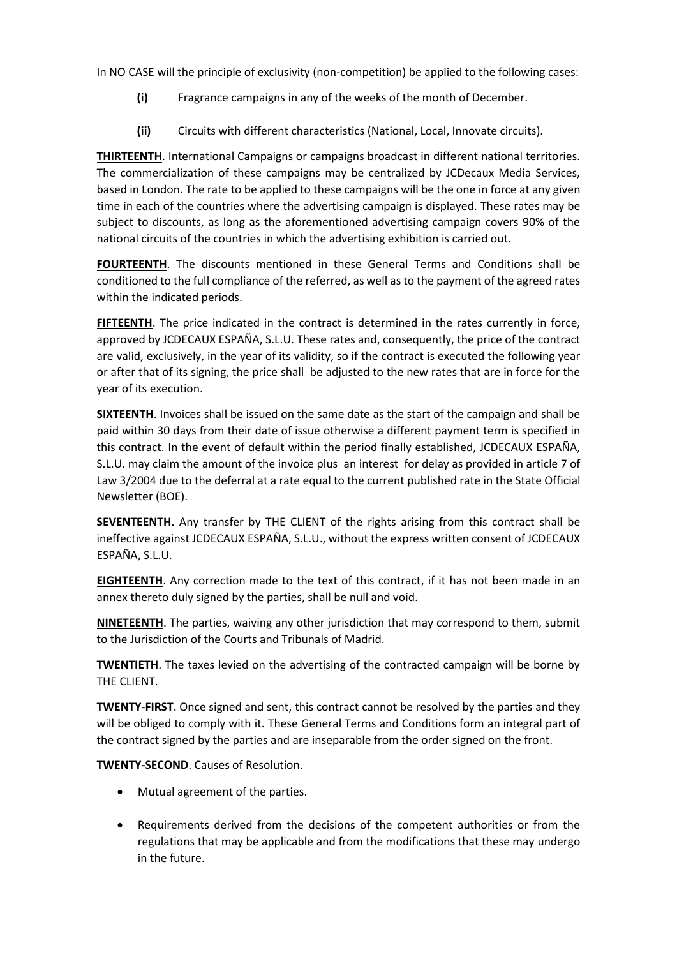In NO CASE will the principle of exclusivity (non-competition) be applied to the following cases:

- **(i)** Fragrance campaigns in any of the weeks of the month of December.
- **(ii)** Circuits with different characteristics (National, Local, Innovate circuits).

**THIRTEENTH**. International Campaigns or campaigns broadcast in different national territories. The commercialization of these campaigns may be centralized by JCDecaux Media Services, based in London. The rate to be applied to these campaigns will be the one in force at any given time in each of the countries where the advertising campaign is displayed. These rates may be subject to discounts, as long as the aforementioned advertising campaign covers 90% of the national circuits of the countries in which the advertising exhibition is carried out.

**FOURTEENTH**. The discounts mentioned in these General Terms and Conditions shall be conditioned to the full compliance of the referred, as well as to the payment of the agreed rates within the indicated periods.

**FIFTEENTH**. The price indicated in the contract is determined in the rates currently in force, approved by JCDECAUX ESPAÑA, S.L.U. These rates and, consequently, the price of the contract are valid, exclusively, in the year of its validity, so if the contract is executed the following year or after that of its signing, the price shall be adjusted to the new rates that are in force for the year of its execution.

**SIXTEENTH**. Invoices shall be issued on the same date as the start of the campaign and shall be paid within 30 days from their date of issue otherwise a different payment term is specified in this contract. In the event of default within the period finally established, JCDECAUX ESPAÑA, S.L.U. may claim the amount of the invoice plus an interest for delay as provided in article 7 of Law 3/2004 due to the deferral at a rate equal to the current published rate in the State Official Newsletter (BOE).

**SEVENTEENTH**. Any transfer by THE CLIENT of the rights arising from this contract shall be ineffective against JCDECAUX ESPAÑA, S.L.U., without the express written consent of JCDECAUX ESPAÑA, S.L.U.

**EIGHTEENTH**. Any correction made to the text of this contract, if it has not been made in an annex thereto duly signed by the parties, shall be null and void.

**NINETEENTH**. The parties, waiving any other jurisdiction that may correspond to them, submit to the Jurisdiction of the Courts and Tribunals of Madrid.

**TWENTIETH**. The taxes levied on the advertising of the contracted campaign will be borne by THE CLIENT.

**TWENTY-FIRST**. Once signed and sent, this contract cannot be resolved by the parties and they will be obliged to comply with it. These General Terms and Conditions form an integral part of the contract signed by the parties and are inseparable from the order signed on the front.

**TWENTY-SECOND**. Causes of Resolution.

- Mutual agreement of the parties.
- Requirements derived from the decisions of the competent authorities or from the regulations that may be applicable and from the modifications that these may undergo in the future.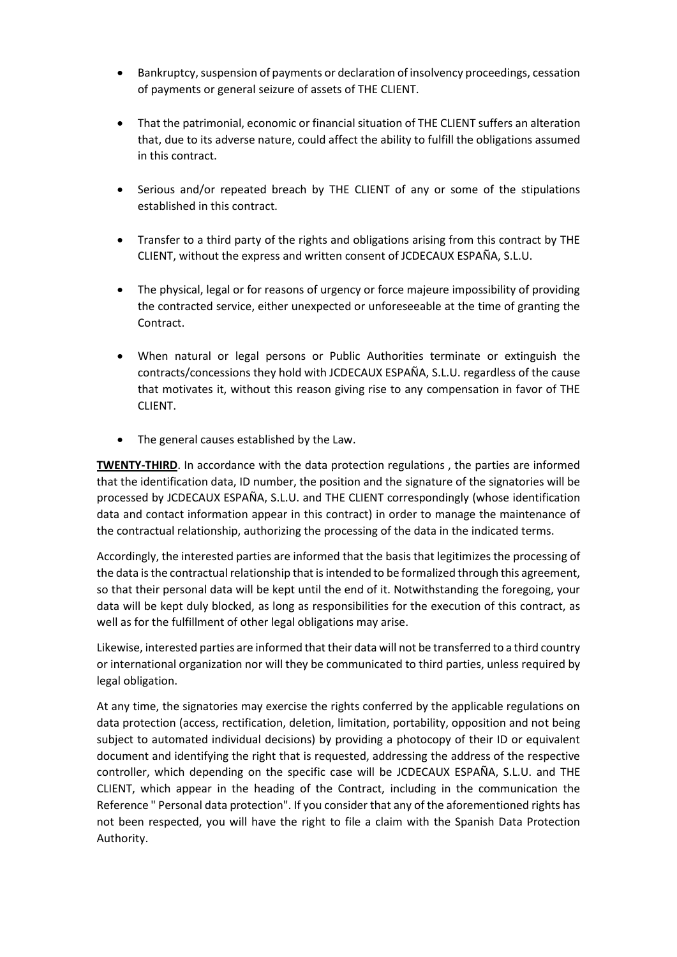- Bankruptcy, suspension of payments or declaration of insolvency proceedings, cessation of payments or general seizure of assets of THE CLIENT.
- That the patrimonial, economic or financial situation of THE CLIENT suffers an alteration that, due to its adverse nature, could affect the ability to fulfill the obligations assumed in this contract.
- Serious and/or repeated breach by THE CLIENT of any or some of the stipulations established in this contract.
- Transfer to a third party of the rights and obligations arising from this contract by THE CLIENT, without the express and written consent of JCDECAUX ESPAÑA, S.L.U.
- The physical, legal or for reasons of urgency or force majeure impossibility of providing the contracted service, either unexpected or unforeseeable at the time of granting the Contract.
- When natural or legal persons or Public Authorities terminate or extinguish the contracts/concessions they hold with JCDECAUX ESPAÑA, S.L.U. regardless of the cause that motivates it, without this reason giving rise to any compensation in favor of THE CLIENT.
- The general causes established by the Law.

**TWENTY-THIRD**. In accordance with the data protection regulations , the parties are informed that the identification data, ID number, the position and the signature of the signatories will be processed by JCDECAUX ESPAÑA, S.L.U. and THE CLIENT correspondingly (whose identification data and contact information appear in this contract) in order to manage the maintenance of the contractual relationship, authorizing the processing of the data in the indicated terms.

Accordingly, the interested parties are informed that the basis that legitimizes the processing of the data is the contractual relationship that is intended to be formalized through this agreement, so that their personal data will be kept until the end of it. Notwithstanding the foregoing, your data will be kept duly blocked, as long as responsibilities for the execution of this contract, as well as for the fulfillment of other legal obligations may arise.

Likewise, interested parties are informed that their data will not be transferred to a third country or international organization nor will they be communicated to third parties, unless required by legal obligation.

At any time, the signatories may exercise the rights conferred by the applicable regulations on data protection (access, rectification, deletion, limitation, portability, opposition and not being subject to automated individual decisions) by providing a photocopy of their ID or equivalent document and identifying the right that is requested, addressing the address of the respective controller, which depending on the specific case will be JCDECAUX ESPAÑA, S.L.U. and THE CLIENT, which appear in the heading of the Contract, including in the communication the Reference " Personal data protection". If you consider that any of the aforementioned rights has not been respected, you will have the right to file a claim with the Spanish Data Protection Authority.